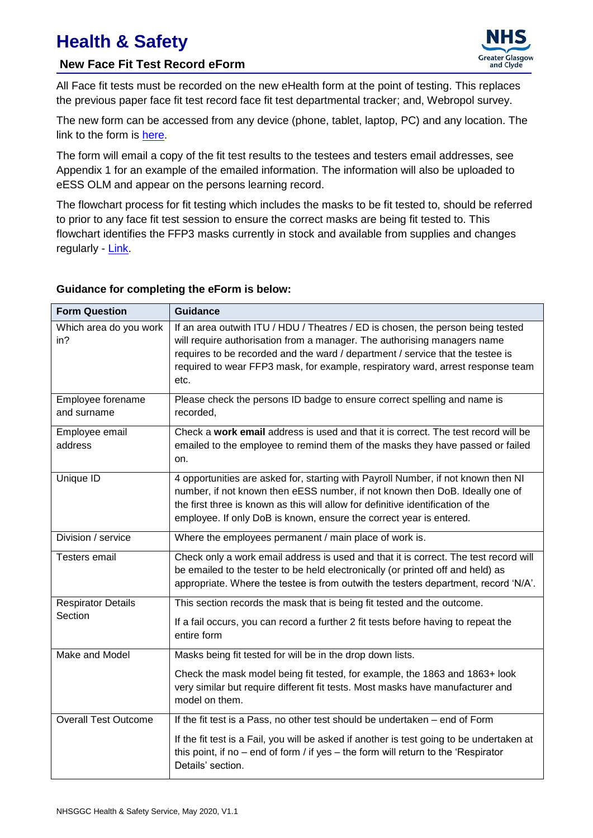# **Health & Safety**

## **New Face Fit Test Record eForm**



All Face fit tests must be recorded on the new eHealth form at the point of testing. This replaces the previous paper face fit test record face fit test departmental tracker; and, Webropol survey.

The new form can be accessed from any device (phone, tablet, laptop, PC) and any location. The link to the form is [here.](https://forms.office.com/Pages/ResponsePage.aspx?id=veDvEDCgykuAnLXmdF5JmgW9YoY5w-BDlHK7ghonYUBUMk5WV04wNU9HSDIyQ0hBMEhLNE1WUlVCMiQlQCN0PWcu)

The form will email a copy of the fit test results to the testees and testers email addresses, see Appendix 1 for an example of the emailed information. The information will also be uploaded to eESS OLM and appear on the persons learning record.

The flowchart process for fit testing which includes the masks to be fit tested to, should be referred to prior to any face fit test session to ensure the correct masks are being fit tested to. This flowchart identifies the FFP3 masks currently in stock and available from supplies and changes regularly - [Link.](https://www.nhsggc.org.uk/working-with-us/hr-connect/health-safety/policies-guidance-documents-forms/personal-protective-equipment/respiratory-protection-equipment-ffp3-masks/)

#### **Guidance for completing the eForm is below:**

| <b>Form Question</b>                 | <b>Guidance</b>                                                                                                                                                                                                                                                                                                                          |
|--------------------------------------|------------------------------------------------------------------------------------------------------------------------------------------------------------------------------------------------------------------------------------------------------------------------------------------------------------------------------------------|
| Which area do you work<br>in?        | If an area outwith ITU / HDU / Theatres / ED is chosen, the person being tested<br>will require authorisation from a manager. The authorising managers name<br>requires to be recorded and the ward / department / service that the testee is<br>required to wear FFP3 mask, for example, respiratory ward, arrest response team<br>etc. |
| Employee forename<br>and surname     | Please check the persons ID badge to ensure correct spelling and name is<br>recorded,                                                                                                                                                                                                                                                    |
| Employee email<br>address            | Check a work email address is used and that it is correct. The test record will be<br>emailed to the employee to remind them of the masks they have passed or failed<br>on.                                                                                                                                                              |
| Unique ID                            | 4 opportunities are asked for, starting with Payroll Number, if not known then NI<br>number, if not known then eESS number, if not known then DoB. Ideally one of<br>the first three is known as this will allow for definitive identification of the<br>employee. If only DoB is known, ensure the correct year is entered.             |
| Division / service                   | Where the employees permanent / main place of work is.                                                                                                                                                                                                                                                                                   |
| <b>Testers email</b>                 | Check only a work email address is used and that it is correct. The test record will<br>be emailed to the tester to be held electronically (or printed off and held) as<br>appropriate. Where the testee is from outwith the testers department, record 'N/A'.                                                                           |
| <b>Respirator Details</b><br>Section | This section records the mask that is being fit tested and the outcome.<br>If a fail occurs, you can record a further 2 fit tests before having to repeat the<br>entire form                                                                                                                                                             |
| Make and Model                       | Masks being fit tested for will be in the drop down lists.<br>Check the mask model being fit tested, for example, the 1863 and 1863+ look                                                                                                                                                                                                |
|                                      | very similar but require different fit tests. Most masks have manufacturer and<br>model on them.                                                                                                                                                                                                                                         |
| <b>Overall Test Outcome</b>          | If the fit test is a Pass, no other test should be undertaken $-$ end of Form                                                                                                                                                                                                                                                            |
|                                      | If the fit test is a Fail, you will be asked if another is test going to be undertaken at<br>this point, if no $-$ end of form / if yes $-$ the form will return to the 'Respirator<br>Details' section.                                                                                                                                 |